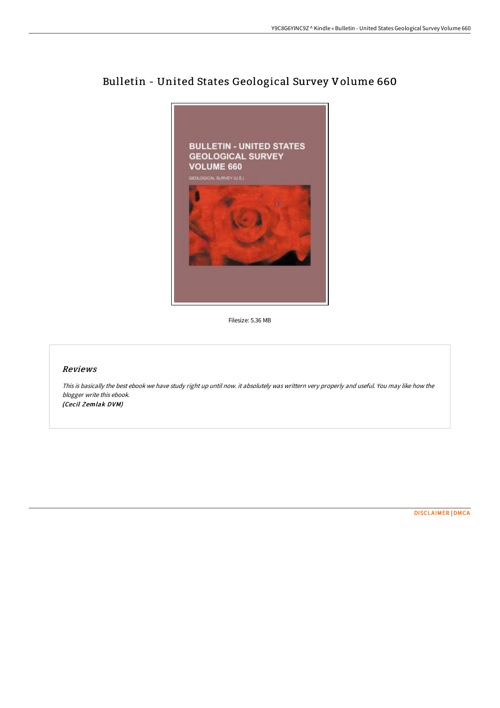

## Bulletin - United States Geological Survey Volume 660

Filesize: 5.36 MB

## Reviews

This is basically the best ebook we have study right up until now. it absolutely was writtern very properly and useful. You may like how the blogger write this ebook. (Cecil Zemlak DVM)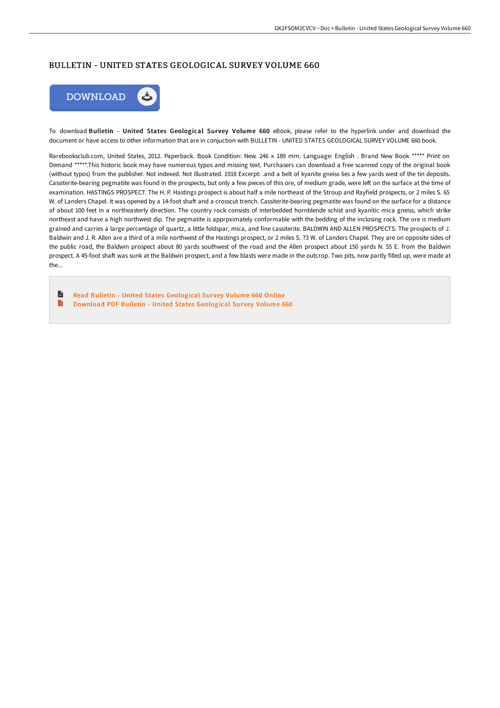## BULLETIN - UNITED STATES GEOLOGICAL SURVEY VOLUME 660



To download Bulletin - United States Geological Survey Volume 660 eBook, please refer to the hyperlink under and download the document or have access to other information that are in conjuction with BULLETIN - UNITED STATES GEOLOGICAL SURVEY VOLUME 660 book.

Rarebooksclub.com, United States, 2012. Paperback. Book Condition: New. 246 x 189 mm. Language: English . Brand New Book \*\*\*\*\* Print on Demand \*\*\*\*\*.This historic book may have numerous typos and missing text. Purchasers can download a free scanned copy of the original book (without typos) from the publisher. Not indexed. Not illustrated. 1918 Excerpt: .and a belt of kyanite gneiss lies a few yards west of the tin deposits. Cassiterite-bearing pegmatite was found in the prospects, but only a few pieces of this ore, of medium grade, were left on the surface at the time of examination. HASTINGS PROSPECT. The H. P. Hastings prospect is about half a mile northeast of the Stroup and Rayfield prospects, or 2 miles S. 65 W. of Landers Chapel. It was opened by a 14-foot shaft and a crosscut trench. Cassiterite-bearing pegmatite was found on the surface for a distance of about 100 feet in a northeasterly direction. The country rock consists of interbedded hornblende schist and kyanitic mica gneiss, which strike northeast and have a high northwest dip. The pegmatite is apprpximately conformable with the bedding of the inclosing rock. The ore is medium grained and carries a large percentage of quartz, a little feldspar, mica, and fine cassiterite. BALDWIN AND ALLEN PROSPECTS. The prospects of J. Baldwin and J. R. Allen are a third of a mile northwest of the Hastings prospect, or 2 miles S. 73 W. of Landers Chapel. They are on opposite sides of the public road, the Baldwin prospect about 80 yards southwest of the road and the Allen prospect about 150 yards N. 55 E. from the Baldwin prospect. A 45-foot shaft was sunk at the Baldwin prospect, and a few blasts were made in the outcrop. Two pits, now partly filled up, were made at the...

A Read Bulletin - United States [Geological](http://www.bookdirs.com/bulletin-united-states-geological-survey-volume--30.html) Survey Volume 660 Online  $\blacksquare$ Download PDF Bulletin - United States [Geological](http://www.bookdirs.com/bulletin-united-states-geological-survey-volume--30.html) Survey Volume 660